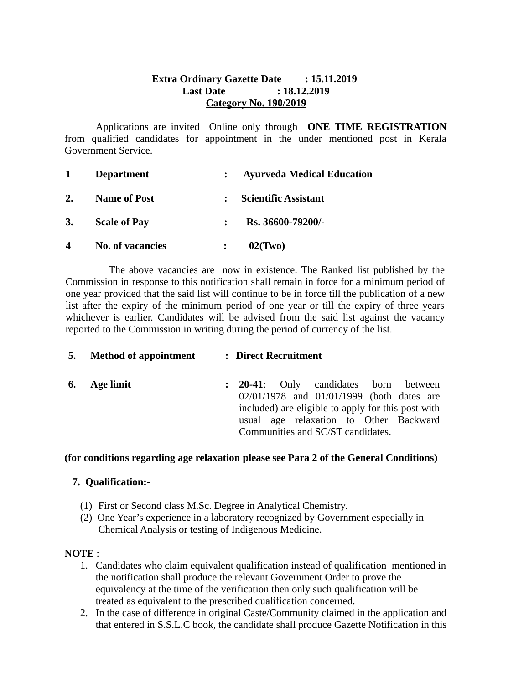## **Extra Ordinary Gazette Date : 15.11.2019 Last Date : 18.12.2019 Category No. 190/2019**

Applications are invited Online only through **ONE TIME REGISTRATION** from qualified candidates for appointment in the under mentioned post in Kerala Government Service.

| 1                       | <b>Department</b>   | <b>Ayurveda Medical Education</b> |
|-------------------------|---------------------|-----------------------------------|
| 2.                      | <b>Name of Post</b> | : Scientific Assistant            |
| 3.                      | <b>Scale of Pay</b> | Rs. 36600-79200/-                 |
| $\overline{\mathbf{4}}$ | No. of vacancies    | 02(Two)                           |

 The above vacancies are now in existence. The Ranked list published by the Commission in response to this notification shall remain in force for a minimum period of one year provided that the said list will continue to be in force till the publication of a new list after the expiry of the minimum period of one year or till the expiry of three years whichever is earlier. Candidates will be advised from the said list against the vacancy reported to the Commission in writing during the period of currency of the list.

|    | 5. Method of appointment | : Direct Recruitment |                                            |  |  |                                   |  |                                                                                                                                           |  |  |
|----|--------------------------|----------------------|--------------------------------------------|--|--|-----------------------------------|--|-------------------------------------------------------------------------------------------------------------------------------------------|--|--|
| 6. | <b>Age limit</b>         |                      | <b>20-41:</b> Only candidates born between |  |  | Communities and SC/ST candidates. |  | 02/01/1978 and 01/01/1999 (both dates are<br>included) are eligible to apply for this post with<br>usual age relaxation to Other Backward |  |  |
|    |                          |                      |                                            |  |  |                                   |  |                                                                                                                                           |  |  |

**(for conditions regarding age relaxation please see Para 2 of the General Conditions)** 

## **7. Qualification:-**

- (1) First or Second class M.Sc. Degree in Analytical Chemistry.
- (2) One Year's experience in a laboratory recognized by Government especially in Chemical Analysis or testing of Indigenous Medicine.

## **NOTE** :

- 1. Candidates who claim equivalent qualification instead of qualification mentioned in the notification shall produce the relevant Government Order to prove the equivalency at the time of the verification then only such qualification will be treated as equivalent to the prescribed qualification concerned.
- 2. In the case of difference in original Caste/Community claimed in the application and that entered in S.S.L.C book, the candidate shall produce Gazette Notification in this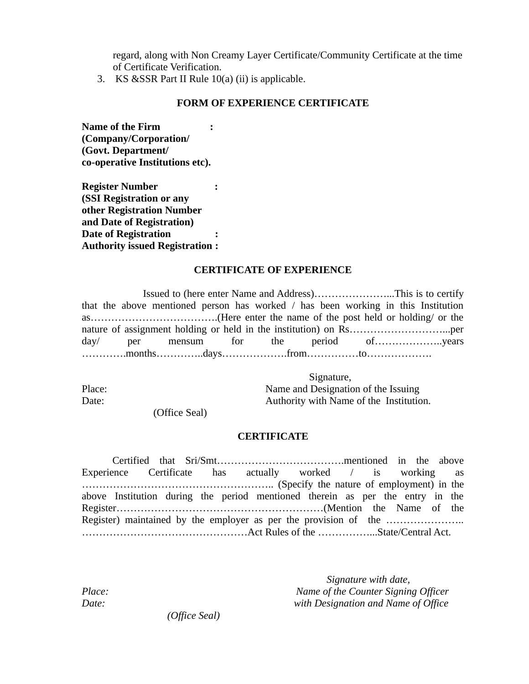regard, along with Non Creamy Layer Certificate/Community Certificate at the time of Certificate Verification.

3. KS &SSR Part II Rule 10(a) (ii) is applicable.

#### **FORM OF EXPERIENCE CERTIFICATE**

**Name of the Firm : (Company/Corporation/ (Govt. Department/ co-operative Institutions etc).**

**Register Number : (SSI Registration or any other Registration Number and Date of Registration) Date of Registration : Authority issued Registration :**

#### **CERTIFICATE OF EXPERIENCE**

Issued to (here enter Name and Address)…………………...This is to certify that the above mentioned person has worked / has been working in this Institution as……………………………….(Here enter the name of the post held or holding/ or the nature of assignment holding or held in the institution) on Rs………………………...per day/ per mensum for the period of………………..years ………….months…………..days……………….from……………to……………….

 Signature, Place: Name and Designation of the Issuing Date: **Authority with Name of the Institution.** 

(Office Seal)

#### **CERTIFICATE**

Certified that Sri/Smt……………………………….mentioned in the above Experience Certificate has actually worked / is working as ……………………………………………….. (Specify the nature of employment) in the above Institution during the period mentioned therein as per the entry in the Register……………………………………………………(Mention the Name of the Register) maintained by the employer as per the provision of the ………………….. …………………………………………Act Rules of the ……………...State/Central Act.

*Signature with date, Place: Name of the Counter Signing Officer Date: with Designation and Name of Office*

 *(Office Seal)*